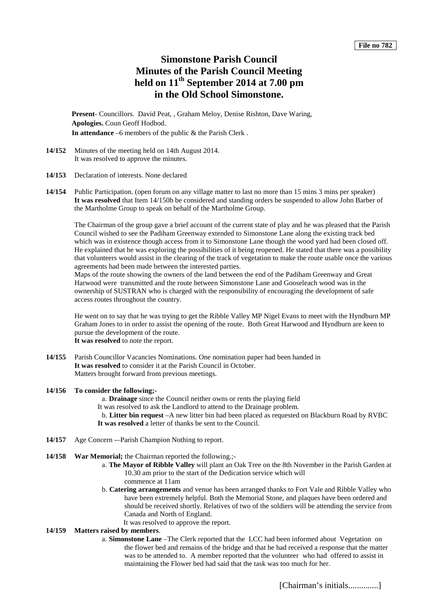# **Simonstone Parish Council Minutes of the Parish Council Meeting held on 11th September 2014 at 7.00 pm in the Old School Simonstone.**

**Present**- Councillors. David Peat, , Graham Meloy, Denise Rishton, Dave Waring, **Apologies.** Coun Geoff Hodbod. **In attendance** –6 members of the public & the Parish Clerk .

- **14/152** Minutes of the meeting held on 14th August 2014. It was resolved to approve the minutes.
- **14/153** Declaration of interests. None declared
- **14/154** Public Participation. (open forum on any village matter to last no more than 15 mins 3 mins per speaker) **It was resolved** that Item 14/150b be considered and standing orders be suspended to allow John Barber of the Martholme Group to speak on behalf of the Martholme Group.

The Chairman of the group gave a brief account of the current state of play and he was pleased that the Parish Council wished to see the Padiham Greenway extended to Simonstone Lane along the existing track bed which was in existence though access from it to Simonstone Lane though the wood yard had been closed off. He explained that he was exploring the possibilities of it being reopened. He stated that there was a possibility that volunteers would assist in the clearing of the track of vegetation to make the route usable once the various agreements had been made between the interested parties.

Maps of the route showing the owners of the land between the end of the Padiham Greenway and Great Harwood were transmitted and the route between Simonstone Lane and Gooseleach wood was in the ownership of SUSTRAN who is charged with the responsibility of encouraging the development of safe access routes throughout the country.

He went on to say that he was trying to get the Ribble Valley MP Nigel Evans to meet with the Hyndburn MP Graham Jones to in order to assist the opening of the route. Both Great Harwood and Hyndburn are keen to pursue the development of the route. **It was resolved** to note the report.

**14/155** Parish Councillor Vacancies Nominations. One nomination paper had been handed in **It was resolved** to consider it at the Parish Council in October. Matters brought forward from previous meetings.

#### **14/156 To consider the following;-**

a. **Drainage** since the Council neither owns or rents the playing field It was resolved to ask the Landlord to attend to the Drainage problem. b. **Litter bin request** –A new litter bin had been placed as requested on Blackburn Road by RVBC **It was resolved** a letter of thanks be sent to the Council.

- **14/157** Age Concern -–Parish Champion Nothing to report.
- **14/158 War Memorial;** the Chairman reported the following.;
	- a. **The Mayor of Ribble Valley** will plant an Oak Tree on the 8th November in the Parish Garden at 10.30 am prior to the start of the Dedication service which will
		- commence at 11am
	- b. **Catering arrangements** and venue has been arranged thanks to Fort Vale and Ribble Valley who have been extremely helpful. Both the Memorial Stone, and plaques have been ordered and should be received shortly. Relatives of two of the soldiers will be attending the service from Canada and North of England.
		- It was resolved to approve the report.

# **14/159 Matters raised by members**.

a. **Simonstone Lane** –The Clerk reported that the LCC had been informed about Vegetation on the flower bed and remains of the bridge and that he had received a response that the matter was to be attended to. A member reported that the volunteer who had offered to assist in maintaining the Flower bed had said that the task was too much for her.

[Chairman's initials..............]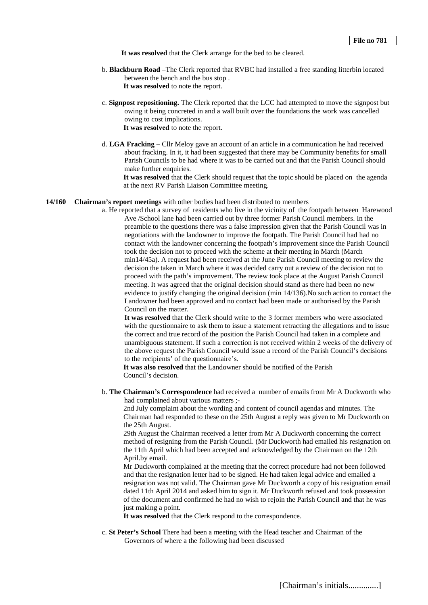**It was resolved** that the Clerk arrange for the bed to be cleared.

- b. **Blackburn Road** –The Clerk reported that RVBC had installed a free standing litterbin located between the bench and the bus stop . **It was resolved** to note the report.
- c. **Signpost repositioning.** The Clerk reported that the LCC had attempted to move the signpost but owing it being concreted in and a wall built over the foundations the work was cancelled owing to cost implications. **It was resolved** to note the report.
- d. **LGA Fracking** Cllr Meloy gave an account of an article in a communication he had received about fracking. In it, it had been suggested that there may be Community benefits for small Parish Councils to be had where it was to be carried out and that the Parish Council should make further enquiries.

**It was resolved** that the Clerk should request that the topic should be placed on the agenda at the next RV Parish Liaison Committee meeting.

## **14/160 Chairman's report meetings** with other bodies had been distributed to members

a. He reported that a survey of residents who live in the vicinity of the footpath between Harewood Ave /School lane had been carried out by three former Parish Council members. In the preamble to the questions there was a false impression given that the Parish Council was in negotiations with the landowner to improve the footpath. The Parish Council had had no contact with the landowner concerning the footpath's improvement since the Parish Council took the decision not to proceed with the scheme at their meeting in March (March min14/45a). A request had been received at the June Parish Council meeting to review the decision the taken in March where it was decided carry out a review of the decision not to proceed with the path's improvement. The review took place at the August Parish Council meeting. It was agreed that the original decision should stand as there had been no new evidence to justify changing the original decision (min 14/136).No such action to contact the Landowner had been approved and no contact had been made or authorised by the Parish Council on the matter.

**It was resolved** that the Clerk should write to the 3 former members who were associated with the questionnaire to ask them to issue a statement retracting the allegations and to issue the correct and true record of the position the Parish Council had taken in a complete and unambiguous statement. If such a correction is not received within 2 weeks of the delivery of the above request the Parish Council would issue a record of the Parish Council's decisions to the recipients' of the questionnaire's.

**It was also resolved** that the Landowner should be notified of the Parish Council's decision.

b. **The Chairman's Correspondence** had received a number of emails from Mr A Duckworth who had complained about various matters ;-

2nd July complaint about the wording and content of council agendas and minutes. The Chairman had responded to these on the 25th August a reply was given to Mr Duckworth on the 25th August.

29th August the Chairman received a letter from Mr A Duckworth concerning the correct method of resigning from the Parish Council. (Mr Duckworth had emailed his resignation on the 11th April which had been accepted and acknowledged by the Chairman on the 12th April.by email.

Mr Duckworth complained at the meeting that the correct procedure had not been followed and that the resignation letter had to be signed. He had taken legal advice and emailed a resignation was not valid. The Chairman gave Mr Duckworth a copy of his resignation email dated 11th April 2014 and asked him to sign it. Mr Duckworth refused and took possession of the document and confirmed he had no wish to rejoin the Parish Council and that he was just making a point.

It was resolved that the Clerk respond to the correspondence.

c. **St Peter's School** There had been a meeting with the Head teacher and Chairman of the Governors of where a the following had been discussed